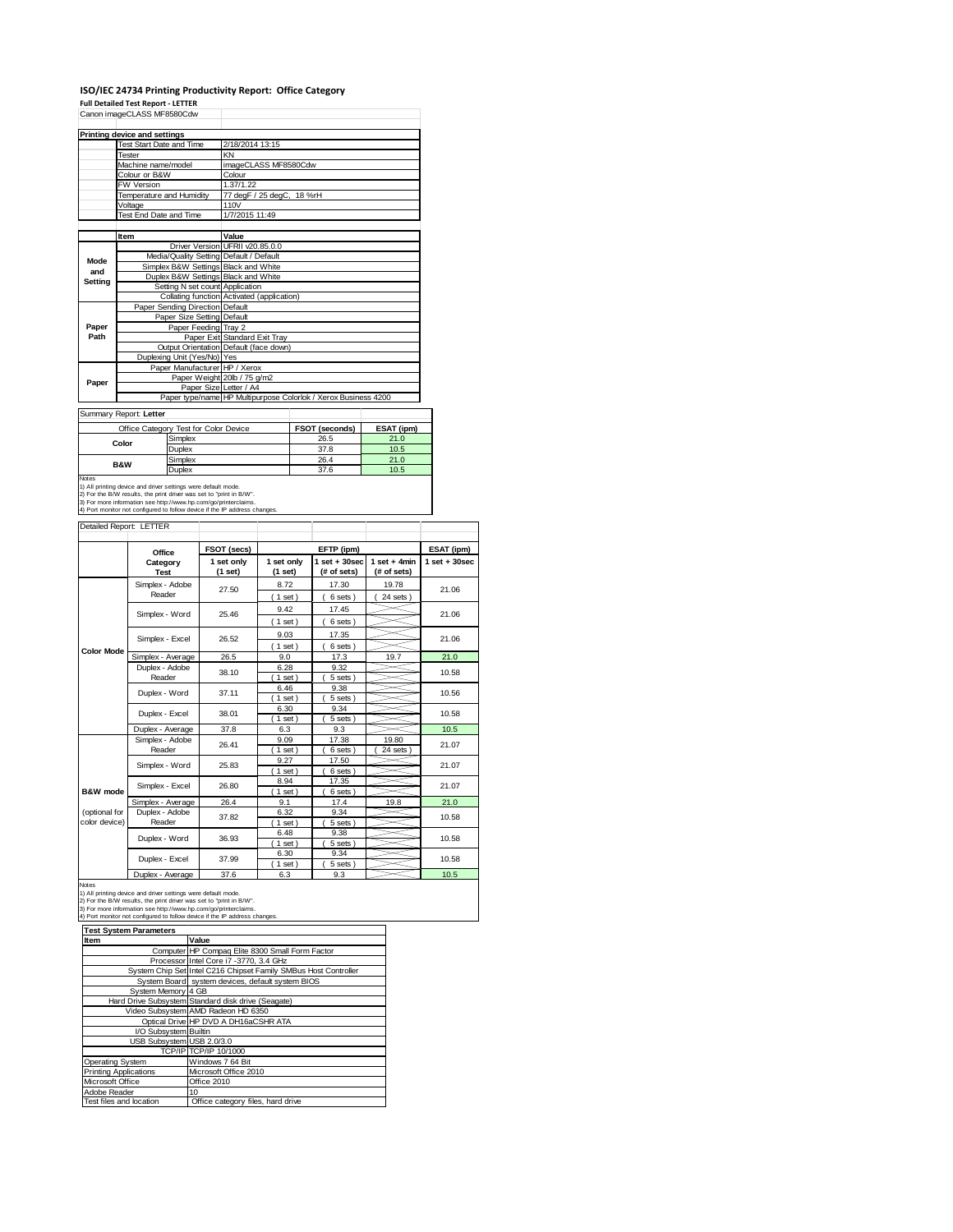# **ISO/IEC 24734 Printing Productivity Report: Office Category**

**Full Detailed Test Report ‐ LETTER** Canon imageCLASS MF8580Cdw

|                                       | Printing device and settings |                                 |                                                                |                |            |
|---------------------------------------|------------------------------|---------------------------------|----------------------------------------------------------------|----------------|------------|
|                                       | Test Start Date and Time     |                                 | 2/18/2014 13:15                                                |                |            |
|                                       | Tester                       |                                 | KN                                                             |                |            |
|                                       | Machine name/model           |                                 | imageCLASS MF8580Cdw                                           |                |            |
|                                       | Colour or B&W                |                                 | Colour                                                         |                |            |
|                                       | FW Version                   |                                 | 1.37/1.22                                                      |                |            |
|                                       | Temperature and Humidity     |                                 | 77 degF / 25 degC, 18 %rH                                      |                |            |
|                                       | Voltage                      |                                 | 110V                                                           |                |            |
|                                       | Test End Date and Time       |                                 | 1/7/2015 11:49                                                 |                |            |
|                                       |                              |                                 |                                                                |                |            |
|                                       | Item                         |                                 | Value                                                          |                |            |
|                                       |                              |                                 | Driver Version UFRII v20.85.0.0                                |                |            |
| Mode                                  |                              |                                 | Media/Quality Setting Default / Default                        |                |            |
| and                                   |                              |                                 | Simplex B&W Settings Black and White                           |                |            |
| Setting                               |                              |                                 | Duplex B&W Settings Black and White                            |                |            |
|                                       |                              |                                 | Setting N set count Application                                |                |            |
|                                       |                              |                                 | Collating function Activated (application)                     |                |            |
|                                       |                              | Paper Sending Direction Default |                                                                |                |            |
|                                       | Paper Size Setting Default   |                                 |                                                                |                |            |
| Paper                                 |                              | Paper Feeding Tray 2            |                                                                |                |            |
| Path                                  |                              |                                 | Paper Exit Standard Exit Tray                                  |                |            |
|                                       |                              |                                 | Output Orientation Default (face down)                         |                |            |
|                                       |                              | Duplexing Unit (Yes/No) Yes     |                                                                |                |            |
|                                       |                              | Paper Manufacturer HP / Xerox   |                                                                |                |            |
| Paper                                 |                              |                                 | Paper Weight 20lb / 75 g/m2                                    |                |            |
|                                       |                              |                                 | Paper Size Letter / A4                                         |                |            |
|                                       |                              |                                 | Paper type/name HP Multipurpose Colorlok / Xerox Business 4200 |                |            |
|                                       | Summary Report: Letter       |                                 |                                                                |                |            |
| Office Category Test for Color Device |                              |                                 |                                                                | FSOT (seconds) | ESAT (ipm) |
|                                       | Color                        | Simplex                         |                                                                | 26.5           | 21.0       |
|                                       |                              | Duplex                          |                                                                | 37.8           | 10.5       |
| $\sim$                                |                              |                                 | -- -                                                           | $\sim$ $\sim$  |            |

|                                                               |               |      | .    |  |  |  |  |
|---------------------------------------------------------------|---------------|------|------|--|--|--|--|
| Color                                                         | Simplex       | 26.5 | 21.0 |  |  |  |  |
|                                                               | <b>Duplex</b> | 37.8 | 10.5 |  |  |  |  |
| <b>B&amp;W</b>                                                | Simplex       | 26.4 | 21.0 |  |  |  |  |
|                                                               | Duplex        | 37.6 | 10.5 |  |  |  |  |
| Notes                                                         |               |      |      |  |  |  |  |
| 1) All printing device and driver settings were default mode. |               |      |      |  |  |  |  |

1) All printing device and driver settings were default mode.<br>2) For the B/W results, the print driver was set to "print in B/W".<br>3) For more information see http://www.hp.com/go/printerclaims.<br>4) Port monitor not configur

## Detailed Report: LETTER

|                     | Office                          | FSOT (secs)           |                       | EFTP (ipm)                       |                               | ESAT (ipm)        |  |
|---------------------|---------------------------------|-----------------------|-----------------------|----------------------------------|-------------------------------|-------------------|--|
|                     | Category<br><b>Test</b>         | 1 set only<br>(1 set) | 1 set only<br>(1 set) | $1$ set $+30$ sec<br>(# of sets) | $1$ set + 4min<br>(# of sets) | $1$ set $+30$ sec |  |
|                     | Simplex - Adobe                 | 27.50                 | 8.72                  | 17.30                            | 19.78                         | 21.06             |  |
|                     | Reader                          |                       | $1$ set)              | 6 sets                           | 24 sets                       |                   |  |
|                     | Simplex - Word                  | 25.46                 | 9.42                  | 17.45                            |                               | 21.06             |  |
|                     |                                 |                       | $(1$ set)             | 6 sets )                         |                               |                   |  |
|                     | Simplex - Excel                 | 26.52                 | 9.03                  | 17.35                            |                               | 21.06             |  |
| <b>Color Mode</b>   |                                 |                       | $1$ set)              | 6 sets)                          |                               |                   |  |
|                     | Simplex - Average               | 26.5                  | 9.0                   | 17.3                             | 19.7                          | 21.0              |  |
|                     | Duplex - Adobe                  | 38.10                 | 6.28                  | 9.32                             |                               | 10.58             |  |
|                     | Reader                          |                       | $1$ set)              | 5 sets)                          |                               |                   |  |
|                     | Duplex - Word<br>Duplex - Excel | 37.11                 | 6.46                  | 9.38                             |                               | 10.56             |  |
|                     |                                 |                       | $1$ set)              | 5 sets)                          |                               |                   |  |
|                     |                                 | 38.01                 | 6.30                  | 9.34                             |                               | 10.58             |  |
|                     |                                 |                       | $1$ set               | 5 sets                           |                               |                   |  |
|                     | Duplex - Average                | 37.8                  | 6.3                   | 9.3                              |                               | 10.5              |  |
|                     | Simplex - Adobe                 | 26.41                 | 9.09                  | 17.38                            | 19.80                         | 21.07             |  |
|                     | Reader                          |                       | $1$ set)              | 6 sets                           | 24 sets                       |                   |  |
|                     | Simplex - Word                  | 25.83                 | 9.27                  | 17.50                            |                               | 21.07             |  |
|                     |                                 |                       | $1$ set)              | 6 sets )                         |                               |                   |  |
|                     | Simplex - Excel                 | 26.80                 | 8.94                  | 17.35                            |                               | 21.07             |  |
| <b>B&amp;W</b> mode |                                 |                       | $1$ set               | 6 sets                           |                               |                   |  |
| (optional for       | Simplex - Average               | 26.4                  | 9.1                   | 17.4                             | 19.8                          | 21.0              |  |
| color device)       | Duplex - Adobe<br>Reader        | 37.82                 | 6.32<br>$1$ set)      | 9.34<br>5 sets)                  |                               | 10.58             |  |
|                     |                                 |                       | 6.48                  | 9.38                             |                               |                   |  |
|                     | Duplex - Word                   | 36.93                 | $1$ set)              | 5 sets)                          |                               | 10.58             |  |
|                     |                                 |                       | 6.30                  | 9.34                             |                               |                   |  |
|                     | Duplex - Excel                  | 37.99                 | 1 set                 | 5 sets                           |                               | 10.58             |  |
|                     | Duplex - Average                | 37.6                  | 6.3                   | 9.3                              |                               | 10.5              |  |

| <b>Test System Parameters</b> |                                                                 |  |  |  |
|-------------------------------|-----------------------------------------------------------------|--|--|--|
| Item                          | Value                                                           |  |  |  |
|                               | Computer HP Compag Elite 8300 Small Form Factor                 |  |  |  |
|                               | Processor Intel Core i7 -3770, 3.4 GHz                          |  |  |  |
|                               | System Chip Set Intel C216 Chipset Family SMBus Host Controller |  |  |  |
|                               | System Board system devices, default system BIOS                |  |  |  |
| System Memory 4 GB            |                                                                 |  |  |  |
|                               | Hard Drive Subsystem Standard disk drive (Seagate)              |  |  |  |
|                               | Video Subsystem AMD Radeon HD 6350                              |  |  |  |
|                               | Optical Drive HP DVD A DH16aCSHR ATA                            |  |  |  |
| I/O Subsystem Builtin         |                                                                 |  |  |  |
| USB Subsystem USB 2.0/3.0     |                                                                 |  |  |  |
|                               | TCP/IP TCP/IP 10/1000                                           |  |  |  |
| Operating System              | Windows 7 64 Bit                                                |  |  |  |
| <b>Printing Applications</b>  | Microsoft Office 2010                                           |  |  |  |
| Microsoft Office              | Office 2010                                                     |  |  |  |
| Adobe Reader                  | 10                                                              |  |  |  |
| Test files and location       | Office category files, hard drive                               |  |  |  |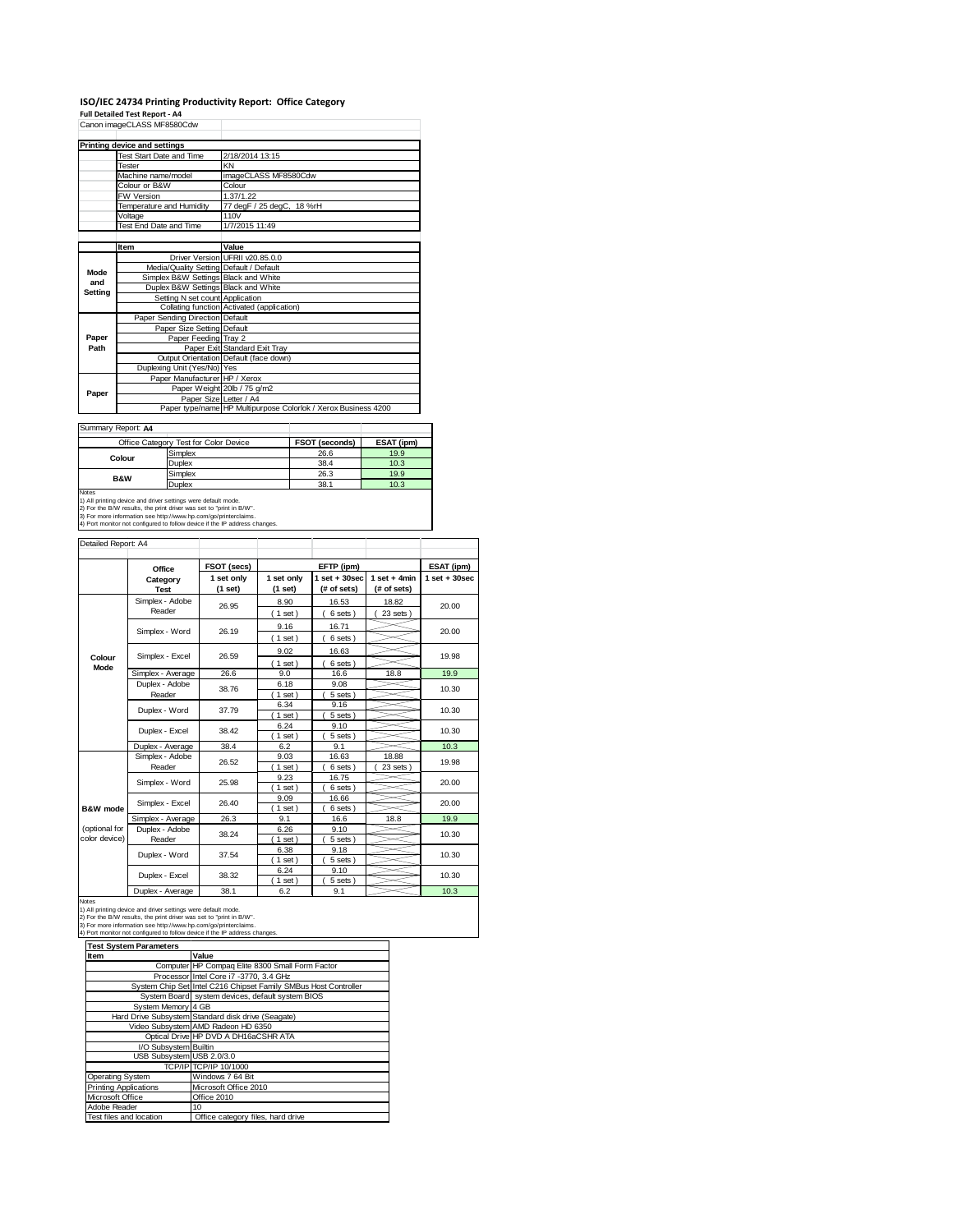|                | ISO/IEC 24734 Printing Productivity Report: Office Category |                                                                |  |  |  |  |
|----------------|-------------------------------------------------------------|----------------------------------------------------------------|--|--|--|--|
|                | <b>Full Detailed Test Report - A4</b>                       |                                                                |  |  |  |  |
|                | Canon imageCLASS MF8580Cdw                                  |                                                                |  |  |  |  |
|                |                                                             |                                                                |  |  |  |  |
|                | Printing device and settings                                |                                                                |  |  |  |  |
|                | Test Start Date and Time                                    | 2/18/2014 13:15                                                |  |  |  |  |
|                | Tester                                                      | KN                                                             |  |  |  |  |
|                | Machine name/model                                          | imageCLASS MF8580Cdw                                           |  |  |  |  |
|                | Colour or B&W                                               | Colour                                                         |  |  |  |  |
|                | FW Version                                                  | 1.37/1.22                                                      |  |  |  |  |
|                | Temperature and Humidity                                    | 77 degF / 25 degC, 18 %rH                                      |  |  |  |  |
|                | Voltage                                                     | 110V                                                           |  |  |  |  |
|                | Test End Date and Time                                      | 1/7/2015 11:49                                                 |  |  |  |  |
|                |                                                             |                                                                |  |  |  |  |
|                | Item                                                        | Value                                                          |  |  |  |  |
|                |                                                             | Driver Version UFRII v20.85.0.0                                |  |  |  |  |
| Mode           | Media/Quality Setting Default / Default                     |                                                                |  |  |  |  |
| and            | Simplex B&W Settings Black and White                        |                                                                |  |  |  |  |
| <b>Setting</b> | Duplex B&W Settings Black and White                         |                                                                |  |  |  |  |
|                | Setting N set count Application                             |                                                                |  |  |  |  |
|                |                                                             | Collating function Activated (application)                     |  |  |  |  |
|                | Paper Sending Direction Default                             |                                                                |  |  |  |  |
|                | Paper Size Setting Default                                  |                                                                |  |  |  |  |
| Paper          | Paper Feeding Tray 2                                        |                                                                |  |  |  |  |
| Path           |                                                             | Paper Exit Standard Exit Tray                                  |  |  |  |  |
|                |                                                             | Output Orientation Default (face down)                         |  |  |  |  |
|                | Duplexing Unit (Yes/No) Yes                                 |                                                                |  |  |  |  |
|                | Paper Manufacturer HP / Xerox                               |                                                                |  |  |  |  |
|                |                                                             |                                                                |  |  |  |  |
|                |                                                             | Paper Weight 20lb / 75 g/m2                                    |  |  |  |  |
| Paper          | Paper Size Letter / A4                                      | Paper type/name HP Multipurpose Colorlok / Xerox Business 4200 |  |  |  |  |

Summary Report: **A4**

|                                                                                                                                              | Office Category Test for Color Device | <b>FSOT (seconds)</b> | ESAT (ipm) |  |  |
|----------------------------------------------------------------------------------------------------------------------------------------------|---------------------------------------|-----------------------|------------|--|--|
| Colour                                                                                                                                       | Simplex                               | 26.6                  | 19.9       |  |  |
|                                                                                                                                              | Duplex                                | 38.4                  | 10.3       |  |  |
|                                                                                                                                              | Simplex                               | 26.3                  | 19.9       |  |  |
| <b>B&amp;W</b>                                                                                                                               | Duplex                                | 38.1                  | 10.3       |  |  |
| <b>Notes</b><br>1) All printing device and driver settings were default mode.<br>Of Finds DAI conductive and development of the Body Co DAIR |                                       |                       |            |  |  |

2) For the B/W results, the print driver was set to "print in B/W". 3) For more information see http://www.hp.com/go/printerclaims. 4) Port monitor not configured to follow device if the IP address changes.

| Detailed Report: A4            |                           |                       |                              |                                  |                               |                   |
|--------------------------------|---------------------------|-----------------------|------------------------------|----------------------------------|-------------------------------|-------------------|
|                                | Office                    | FSOT (secs)           |                              | EFTP (ipm)                       |                               | ESAT (ipm)        |
|                                | Category<br><b>Test</b>   | 1 set only<br>(1 set) | 1 set only<br>(1 set)        | $1$ set $+30$ sec<br>(# of sets) | $1$ set + 4min<br>(# of sets) | $1$ set $+30$ sec |
|                                | Simplex - Adobe<br>Reader | 26.95                 | 8.90<br>$1$ set)             | 16.53<br>6 sets)                 | 18.82<br>23 sets              | 20.00             |
|                                | Simplex - Word            | 26.19                 | 9.16                         | 16.71                            |                               | 20.00             |
| Colour                         | Simplex - Excel           | 26.59                 | $1$ set)<br>9.02<br>$1$ set) | 6 sets)<br>16.63<br>6 sets)      |                               | 19.98             |
| Mode                           | Simplex - Average         | 26.6                  | 9.0                          | 16.6                             | 18.8                          | 19.9              |
|                                | Duplex - Adobe<br>Reader  | 38.76                 | 6.18<br>$1$ set)             | 9.08<br>5 sets)                  |                               | 10.30             |
|                                | Duplex - Word             | 37.79                 | 6.34<br>$1$ set)             | 9.16<br>5 sets)                  |                               | 10.30             |
|                                | Duplex - Excel            | 38.42                 | 6.24<br>$1$ set)             | 9.10<br>5 sets)                  |                               | 10.30             |
|                                | Duplex - Average          | 38.4                  | 6.2                          | 9.1                              |                               | 10.3              |
|                                | Simplex - Adobe<br>Reader | 26.52                 | 9.03<br>$1$ set $)$          | 16.63<br>6 sets)                 | 18.88<br>23 sets              | 19.98             |
|                                | Simplex - Word            | 25.98                 | 9.23<br>$1$ set)             | 16.75<br>6 sets)                 |                               | 20.00             |
| B&W mode                       | Simplex - Excel           | 26.40                 | 9.09<br>$1$ set)             | 16.66<br>6 sets)                 |                               | 20.00             |
|                                | Simplex - Average         | 26.3                  | 9.1                          | 16.6                             | 18.8                          | 19.9              |
| (optional for<br>color device) | Duplex - Adobe<br>Reader  | 38.24                 | 6.26<br>$1$ set)             | 9.10<br>5 sets)                  |                               | 10.30             |
|                                | Duplex - Word             | 37.54                 | 6.38<br>$1$ set)             | 9.18<br>5 sets)                  |                               | 10.30             |
|                                | Duplex - Excel            | 38.32                 | 6.24<br>$1$ set              | 9.10<br>5 sets                   |                               | 10.30             |
|                                | Duplex - Average          | 38.1                  | 6.2                          | 9.1                              |                               | 10.3              |

| <b>Test System Parameters</b> |                                                                 |  |  |  |
|-------------------------------|-----------------------------------------------------------------|--|--|--|
| Item                          | Value                                                           |  |  |  |
|                               | Computer HP Compaq Elite 8300 Small Form Factor                 |  |  |  |
|                               | Processor Intel Core i7 -3770, 3.4 GHz                          |  |  |  |
|                               | System Chip Set Intel C216 Chipset Family SMBus Host Controller |  |  |  |
|                               | System Board system devices, default system BIOS                |  |  |  |
| System Memory 4 GB            |                                                                 |  |  |  |
|                               | Hard Drive Subsystem Standard disk drive (Seagate)              |  |  |  |
|                               | Video Subsystem AMD Radeon HD 6350                              |  |  |  |
|                               | Optical Drive HP DVD A DH16aCSHR ATA                            |  |  |  |
| I/O Subsystem Builtin         |                                                                 |  |  |  |
| USB Subsystem USB 2.0/3.0     |                                                                 |  |  |  |
|                               | TCP/IP TCP/IP 10/1000                                           |  |  |  |
| Operating System              | Windows 7 64 Bit                                                |  |  |  |
| <b>Printing Applications</b>  | Microsoft Office 2010                                           |  |  |  |
| Microsoft Office              | Office 2010                                                     |  |  |  |
| Adobe Reader                  | 10                                                              |  |  |  |
| Test files and location       | Office category files, hard drive                               |  |  |  |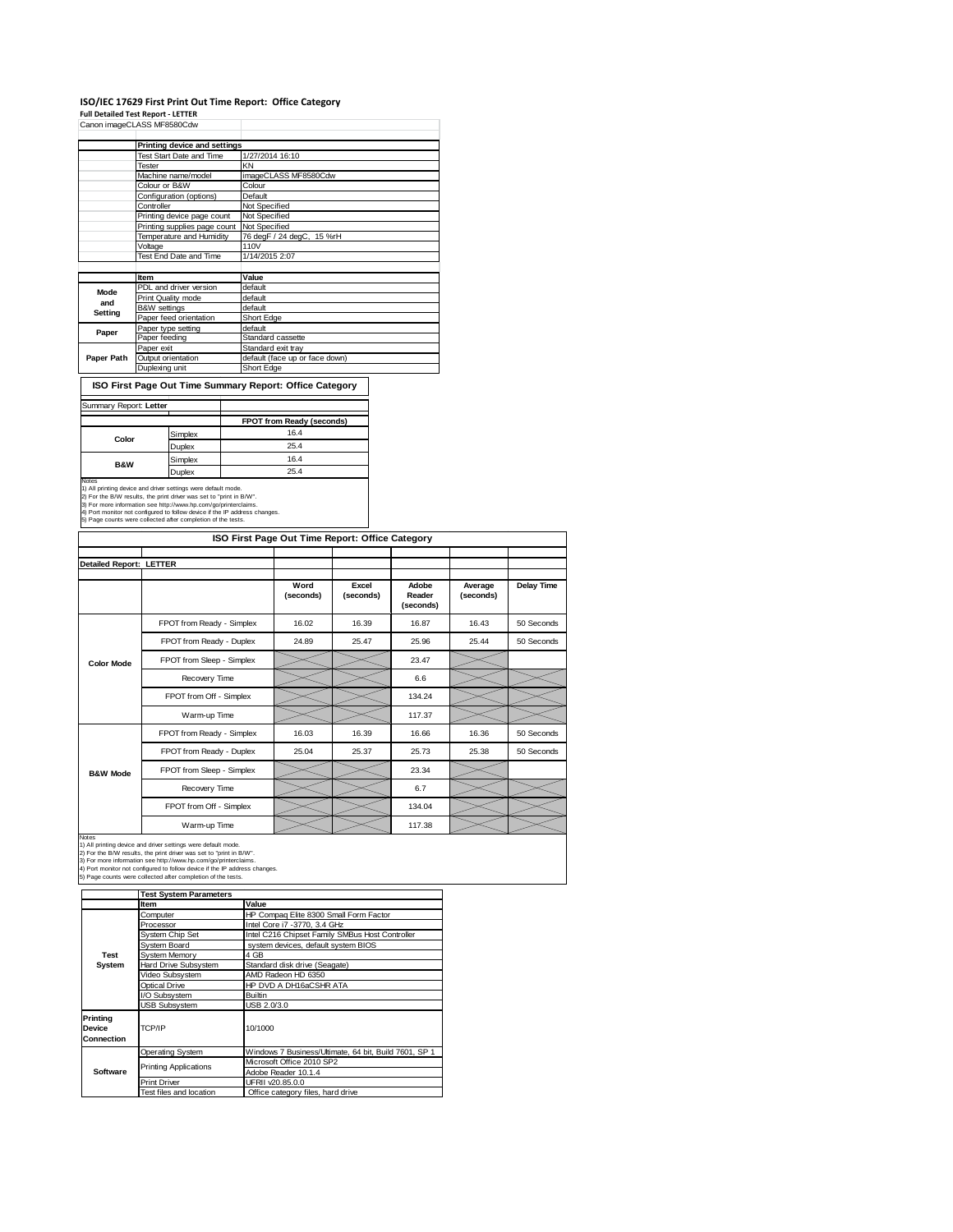### **ISO/IEC 17629 First Print Out Time Report: Office Category**

**Full Detailed Test Report ‐ LETTER**

|            | Canon imageCLASS MF8580Cdw      |                                |
|------------|---------------------------------|--------------------------------|
|            | Printing device and settings    |                                |
|            | <b>Test Start Date and Time</b> | 1/27/2014 16:10                |
|            | Tester                          | KN                             |
|            | Machine name/model              | imageCLASS MF8580Cdw           |
|            | Colour or B&W                   | Colour                         |
|            | Configuration (options)         | Default                        |
|            | Controller                      | Not Specified                  |
|            | Printing device page count      | Not Specified                  |
|            | Printing supplies page count    | Not Specified                  |
|            | Temperature and Humidity        | 76 degF / 24 degC, 15 %rH      |
|            | Voltage                         | 110V                           |
|            | Test End Date and Time          | 1/14/2015 2:07                 |
|            |                                 |                                |
|            | Item                            | Value                          |
| Mode       | PDL and driver version          | default                        |
| and        | Print Quality mode              | default                        |
| Setting    | B&W settings                    | default                        |
|            | Paper feed orientation          | Short Edge                     |
| Paper      | Paper type setting              | default                        |
|            | Paper feeding                   | Standard cassette              |
|            | Paper exit                      | Standard exit tray             |
| Paper Path | Output orientation              | default (face up or face down) |
|            | Duplexing unit                  | Short Edge                     |

**ISO First Page Out Time Summary Report: Office Category**

| Summary Report: Letter |         |                           |
|------------------------|---------|---------------------------|
|                        |         | FPOT from Ready (seconds) |
| Color                  | Simplex | 16.4                      |
|                        | Duplex  | 25.4                      |
| <b>B&amp;W</b>         | Simplex | 16.4                      |
|                        | Duplex  | 25.4                      |

| <b>Detailed Report: LETTER</b> |                                                                                                                                                                                                                                                                                                                                                       |                   |                    |                              |                      |                   |
|--------------------------------|-------------------------------------------------------------------------------------------------------------------------------------------------------------------------------------------------------------------------------------------------------------------------------------------------------------------------------------------------------|-------------------|--------------------|------------------------------|----------------------|-------------------|
|                                |                                                                                                                                                                                                                                                                                                                                                       | Word<br>(seconds) | Excel<br>(seconds) | Adobe<br>Reader<br>(seconds) | Average<br>(seconds) | <b>Delay Time</b> |
|                                | FPOT from Ready - Simplex                                                                                                                                                                                                                                                                                                                             | 16.02             | 16.39              | 16.87                        | 16.43                | 50 Seconds        |
|                                | FPOT from Ready - Duplex                                                                                                                                                                                                                                                                                                                              | 24.89             | 25.47              | 25.96                        | 25.44                | 50 Seconds        |
| <b>Color Mode</b>              | FPOT from Sleep - Simplex                                                                                                                                                                                                                                                                                                                             |                   |                    | 23.47                        |                      |                   |
|                                | Recovery Time                                                                                                                                                                                                                                                                                                                                         |                   |                    | 6.6                          |                      |                   |
|                                | FPOT from Off - Simplex                                                                                                                                                                                                                                                                                                                               |                   |                    | 134.24                       |                      |                   |
|                                | Warm-up Time                                                                                                                                                                                                                                                                                                                                          |                   |                    | 117.37                       |                      |                   |
|                                | FPOT from Ready - Simplex                                                                                                                                                                                                                                                                                                                             | 16.03             | 16.39              | 16.66                        | 16.36                | 50 Seconds        |
|                                | FPOT from Ready - Duplex                                                                                                                                                                                                                                                                                                                              | 25.04             | 25.37              | 25.73                        | 25.38                | 50 Seconds        |
| <b>B&amp;W Mode</b>            | FPOT from Sleep - Simplex                                                                                                                                                                                                                                                                                                                             |                   |                    | 23.34                        |                      |                   |
|                                | Recovery Time                                                                                                                                                                                                                                                                                                                                         |                   |                    | 6.7                          |                      |                   |
|                                | FPOT from Off - Simplex                                                                                                                                                                                                                                                                                                                               |                   |                    | 134.04                       |                      |                   |
|                                | Warm-up Time                                                                                                                                                                                                                                                                                                                                          |                   |                    | 117.38                       |                      |                   |
| Notes                          | 1) All printing device and driver settings were default mode.<br>2) For the B/W results, the print driver was set to "print in B/W".<br>3) For more information see http://www.hp.com/go/printerclaims.<br>4) Port monitor not configured to follow device if the IP address changes.<br>5) Page counts were collected after completion of the tests. |                   |                    |                              |                      |                   |

|                                         | <b>Test System Parameters</b> |                                                       |  |
|-----------------------------------------|-------------------------------|-------------------------------------------------------|--|
|                                         | Item                          | Value                                                 |  |
|                                         | Computer                      | HP Compag Elite 8300 Small Form Factor                |  |
|                                         | Processor                     | Intel Core i7 -3770, 3.4 GHz                          |  |
|                                         | System Chip Set               | Intel C216 Chipset Family SMBus Host Controller       |  |
|                                         | System Board                  | system devices, default system BIOS                   |  |
| <b>Test</b>                             | <b>System Memory</b>          | 4 GB                                                  |  |
| System                                  | <b>Hard Drive Subsystem</b>   | Standard disk drive (Seagate)                         |  |
|                                         | Video Subsystem               | AMD Radeon HD 6350                                    |  |
|                                         | <b>Optical Drive</b>          | HP DVD A DH16aCSHR ATA                                |  |
|                                         | I/O Subsystem                 | <b>Builtin</b>                                        |  |
|                                         | <b>USB Subsystem</b>          | USB 2.0/3.0                                           |  |
| Printing<br>Device<br><b>Connection</b> | TCP/IP                        | 10/1000                                               |  |
|                                         | Operating System              | Windows 7 Business/Ultimate, 64 bit, Build 7601, SP 1 |  |
|                                         | <b>Printing Applications</b>  | Microsoft Office 2010 SP2                             |  |
| Software                                |                               | Adobe Reader 10.1.4                                   |  |
|                                         | <b>Print Driver</b>           | UFRII v20.85.0.0                                      |  |
|                                         | Test files and location       | Office category files, hard drive                     |  |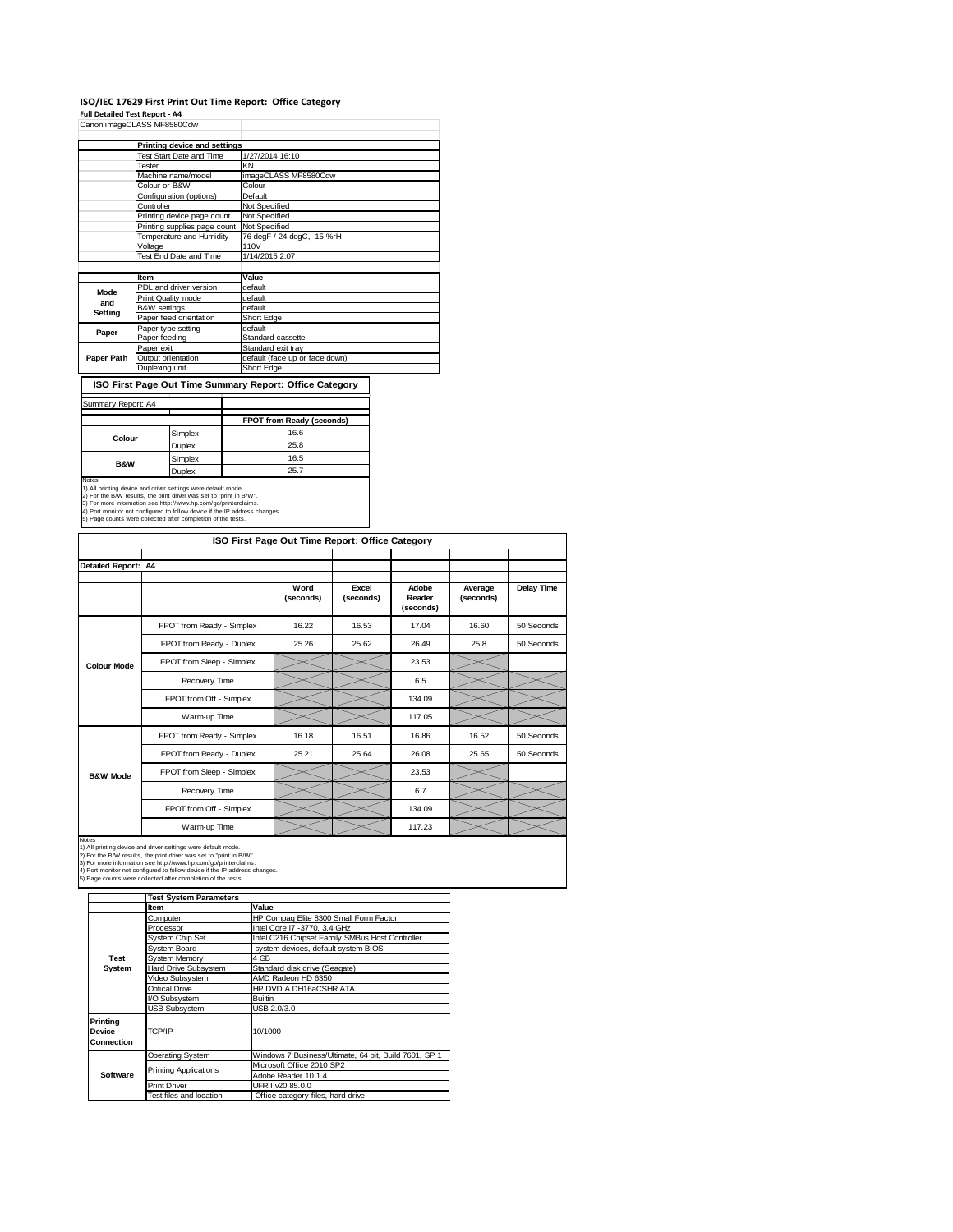### **ISO/IEC 17629 First Print Out Time Report: Office Category**

**Full Detailed Test Report ‐ A4**

|            | Canon imageCLASS MF8580Cdw      |                                |  |  |
|------------|---------------------------------|--------------------------------|--|--|
|            | Printing device and settings    |                                |  |  |
|            | <b>Test Start Date and Time</b> | 1/27/2014 16:10                |  |  |
|            | Tester                          | KN                             |  |  |
|            | Machine name/model              | imageCLASS MF8580Cdw           |  |  |
|            | Colour or B&W                   | Colour                         |  |  |
|            | Configuration (options)         | Default                        |  |  |
|            | Controller                      | Not Specified                  |  |  |
|            | Printing device page count      | Not Specified                  |  |  |
|            | Printing supplies page count    | Not Specified                  |  |  |
|            | Temperature and Humidity        | 76 degF / 24 degC, 15 %rH      |  |  |
|            | Voltage                         | 110V                           |  |  |
|            | Test End Date and Time          | 1/14/2015 2:07                 |  |  |
|            |                                 |                                |  |  |
|            | Item                            | Value                          |  |  |
| Mode       | PDL and driver version          | default                        |  |  |
| and        | Print Quality mode              | default                        |  |  |
| Setting    | B&W settings                    | default                        |  |  |
|            | Paper feed orientation          | Short Edge                     |  |  |
| Paper      | Paper type setting              | default                        |  |  |
|            | Paper feeding                   | Standard cassette              |  |  |
|            | Paper exit                      | Standard exit tray             |  |  |
| Paper Path | Output orientation              | default (face up or face down) |  |  |
|            | Duplexing unit                  | Short Edge                     |  |  |

**ISO First Page Out Time Summary Report: Office Category**

| Summary Report: A4                                                                                                                                                                                                                                                                                                                                             |               |                           |
|----------------------------------------------------------------------------------------------------------------------------------------------------------------------------------------------------------------------------------------------------------------------------------------------------------------------------------------------------------------|---------------|---------------------------|
|                                                                                                                                                                                                                                                                                                                                                                |               | FPOT from Ready (seconds) |
|                                                                                                                                                                                                                                                                                                                                                                | Simplex       | 16.6                      |
| Colour                                                                                                                                                                                                                                                                                                                                                         | <b>Duplex</b> | 25.8                      |
| <b>B&amp;W</b>                                                                                                                                                                                                                                                                                                                                                 | Simplex       | 16.5                      |
|                                                                                                                                                                                                                                                                                                                                                                | <b>Duplex</b> | 25.7                      |
| Notes<br>1) All printing device and driver settings were default mode.<br>2) For the B/W results, the print driver was set to "print in B/W".<br>3) For more information see http://www.hp.com/go/printerclaims.<br>4) Port monitor not configured to follow device if the IP address changes.<br>5) Page counts were collected after completion of the tests. |               |                           |

| ISO First Page Out Time Report: Office Category |                           |                   |                    |                              |                      |                   |  |
|-------------------------------------------------|---------------------------|-------------------|--------------------|------------------------------|----------------------|-------------------|--|
|                                                 |                           |                   |                    |                              |                      |                   |  |
| <b>Detailed Report: A4</b>                      |                           |                   |                    |                              |                      |                   |  |
|                                                 |                           | Word<br>(seconds) | Excel<br>(seconds) | Adobe<br>Reader<br>(seconds) | Average<br>(seconds) | <b>Delay Time</b> |  |
|                                                 | FPOT from Ready - Simplex | 16.22             | 16.53              | 17.04                        | 16.60                | 50 Seconds        |  |
|                                                 | FPOT from Ready - Duplex  | 25.26             | 25.62              | 26.49                        | 25.8                 | 50 Seconds        |  |
| <b>Colour Mode</b>                              | FPOT from Sleep - Simplex |                   |                    | 23.53                        |                      |                   |  |
|                                                 | Recovery Time             |                   |                    | 6.5                          |                      |                   |  |
|                                                 | FPOT from Off - Simplex   |                   |                    | 134.09                       |                      |                   |  |
|                                                 | Warm-up Time              |                   |                    | 117.05                       |                      |                   |  |
|                                                 | FPOT from Ready - Simplex | 16.18             | 16.51              | 16.86                        | 16.52                | 50 Seconds        |  |
|                                                 | FPOT from Ready - Duplex  | 25.21             | 25.64              | 26.08                        | 25.65                | 50 Seconds        |  |
| <b>B&amp;W Mode</b>                             | FPOT from Sleep - Simplex |                   |                    | 23.53                        |                      |                   |  |
|                                                 | Recovery Time             |                   |                    | 6.7                          |                      |                   |  |
|                                                 | FPOT from Off - Simplex   |                   |                    | 134.09                       |                      |                   |  |
|                                                 | Warm-up Time              |                   |                    | 117.23                       |                      |                   |  |

|                                  | <b>Test System Parameters</b> |                                                       |  |  |
|----------------------------------|-------------------------------|-------------------------------------------------------|--|--|
|                                  | <b>Item</b>                   | Value                                                 |  |  |
|                                  | Computer                      | HP Compaq Elite 8300 Small Form Factor                |  |  |
|                                  | Processor                     | Intel Core i7 -3770, 3.4 GHz                          |  |  |
|                                  | System Chip Set               | Intel C216 Chipset Family SMBus Host Controller       |  |  |
|                                  | System Board                  | system devices, default system BIOS                   |  |  |
| <b>Test</b>                      | System Memory                 | 4 GB                                                  |  |  |
| System                           | Hard Drive Subsystem          | Standard disk drive (Seagate)                         |  |  |
|                                  | Video Subsystem               | AMD Radeon HD 6350                                    |  |  |
|                                  | Optical Drive                 | HP DVD A DH16aCSHR ATA                                |  |  |
|                                  | I/O Subsystem                 | <b>Builtin</b>                                        |  |  |
|                                  | <b>USB Subsystem</b>          | USB 2.0/3.0                                           |  |  |
| Printing<br>Device<br>Connection | TCP/IP                        | 10/1000                                               |  |  |
|                                  | <b>Operating System</b>       | Windows 7 Business/Ultimate, 64 bit, Build 7601, SP 1 |  |  |
|                                  |                               | Microsoft Office 2010 SP2                             |  |  |
| Software                         | <b>Printing Applications</b>  | Adobe Reader 10.1.4                                   |  |  |
|                                  | <b>Print Driver</b>           | UFRII v20.85.0.0                                      |  |  |
|                                  | Test files and location       | Office category files, hard drive                     |  |  |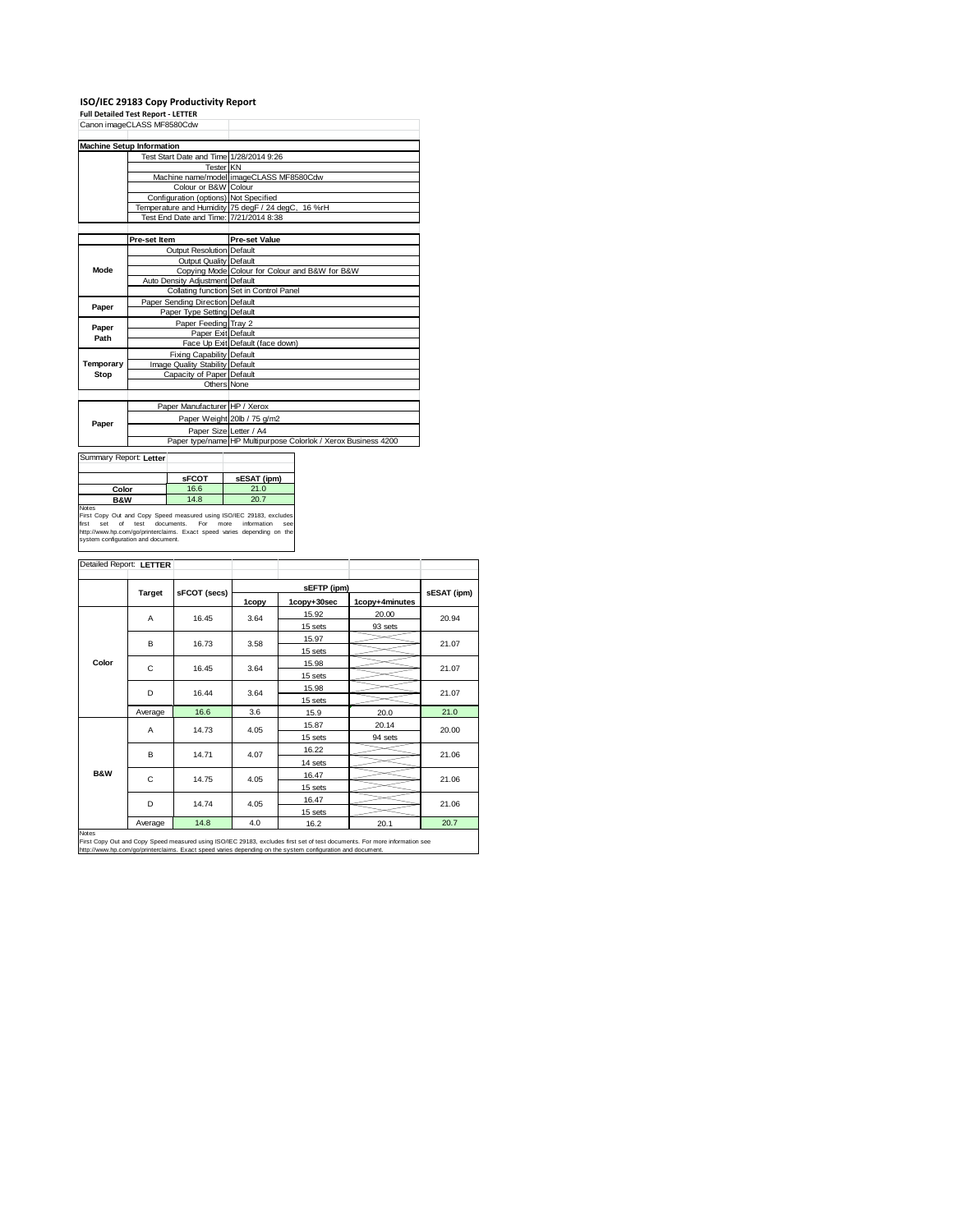**ISO/IEC 29183 Copy Productivity Report Full Detailed Test Report ‐ LETTER** Canon imageCLASS MF8580Cdw

|           | Canon imageCLASS MF8580Cdw              |                                                                |  |  |
|-----------|-----------------------------------------|----------------------------------------------------------------|--|--|
|           | <b>Machine Setup Information</b>        |                                                                |  |  |
|           | Test Start Date and Time 1/28/2014 9:26 |                                                                |  |  |
|           | <b>Tester KN</b>                        |                                                                |  |  |
|           |                                         | Machine name/model imageCLASS MF8580Cdw                        |  |  |
|           | Colour or B&W Colour                    |                                                                |  |  |
|           | Configuration (options) Not Specified   |                                                                |  |  |
|           |                                         | Temperature and Humidity 75 degF / 24 degC, 16 %rH             |  |  |
|           | Test End Date and Time: 7/21/2014 8:38  |                                                                |  |  |
|           |                                         |                                                                |  |  |
|           | Pre-set Item                            | <b>Pre-set Value</b>                                           |  |  |
|           | Output Resolution Default               |                                                                |  |  |
|           | <b>Output Quality Default</b>           |                                                                |  |  |
| Mode      |                                         | Copying Mode Colour for Colour and B&W for B&W                 |  |  |
|           | Auto Density Adjustment Default         |                                                                |  |  |
|           |                                         | Collating function Set in Control Panel                        |  |  |
| Paper     | Paper Sending Direction Default         |                                                                |  |  |
|           | Paper Type Setting Default              |                                                                |  |  |
| Paper     | Paper Feeding Tray 2                    |                                                                |  |  |
| Path      | Paper Exit Default                      |                                                                |  |  |
|           |                                         | Face Up Exit Default (face down)                               |  |  |
|           | <b>Fixing Capability Default</b>        |                                                                |  |  |
| Temporary | Image Quality Stability Default         |                                                                |  |  |
| Stop      | Capacity of Paper Default               |                                                                |  |  |
|           | Others None                             |                                                                |  |  |
|           |                                         |                                                                |  |  |
|           | Paper Manufacturer HP / Xerox           |                                                                |  |  |
| Paper     |                                         | Paper Weight 20lb / 75 g/m2                                    |  |  |
|           | Paper Size Letter / A4                  |                                                                |  |  |
|           |                                         | Paper type/name HP Multipurpose Colorlok / Xerox Business 4200 |  |  |

| <b>SFCOT</b> | sESAT (ipm) |
|--------------|-------------|
| 16.6         | 21.0        |
| 14.8         | 20.7        |
|              |             |

Notes<br>First Copy Out and Copy Speed measured using ISO/IEC 29183, excludes<br>first set of test documents. For more information see<br>http://www.hp.com/go/printerclaims. Exact speed varies depending on the<br>system configuration

|                | Detailed Report: LETTER |              |       |             |                |             |  |
|----------------|-------------------------|--------------|-------|-------------|----------------|-------------|--|
|                |                         |              |       |             |                |             |  |
|                | <b>Target</b>           | sFCOT (secs) |       | sEFTP (ipm) |                | sESAT (ipm) |  |
|                |                         |              | 1copy | 1copy+30sec | 1copy+4minutes |             |  |
|                | A                       | 16.45        | 3.64  | 15.92       | 20.00          | 20.94       |  |
|                |                         |              |       | 15 sets     | 93 sets        |             |  |
|                | в                       | 16.73        | 3.58  | 15.97       |                | 21.07       |  |
|                |                         |              |       | 15 sets     |                |             |  |
| Color          | C                       | 16.45        | 3.64  | 15.98       |                | 21.07       |  |
|                |                         |              |       | 15 sets     |                |             |  |
|                | D                       | 16.44        | 3.64  | 15.98       |                | 21.07       |  |
|                |                         |              |       | 15 sets     |                |             |  |
|                | Average                 | 16.6         | 3.6   | 15.9        | 20.0           | 21.0        |  |
|                | A                       | 14.73        | 4.05  | 15.87       | 20.14          | 20.00       |  |
|                |                         |              |       | 15 sets     | 94 sets        |             |  |
|                | B                       | 14.71        | 4.07  | 16.22       |                | 21.06       |  |
|                |                         |              |       | 14 sets     |                |             |  |
| <b>B&amp;W</b> | C                       | 14.75        | 4.05  | 16.47       |                | 21.06       |  |
|                |                         |              |       | 15 sets     |                |             |  |
|                | D                       | 14.74        | 4.05  | 16.47       |                | 21.06       |  |
|                |                         |              |       | 15 sets     |                |             |  |
|                | Average                 | 14.8         | 4.0   | 16.2        | 20.1           | 20.7        |  |
| Notes          |                         |              |       |             |                |             |  |

Notes<br>First Copy Out and Copy Speed measured using ISO/IEC 29183, excludes first set of test documents. For more information see<br>http://www.hp.com/go/printerclaims. Exact speed varies depending on the system configuration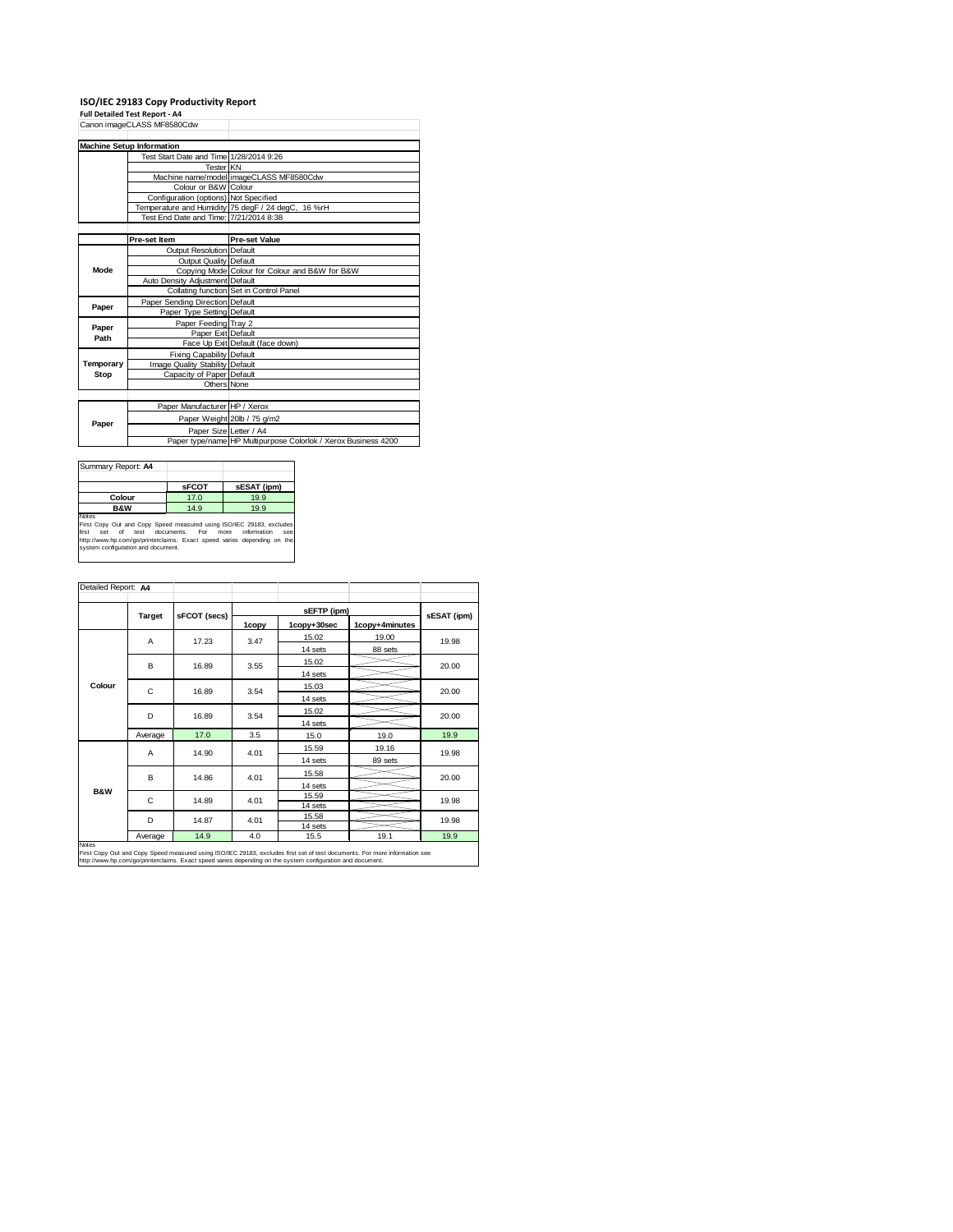## **ISO/IEC 29183 Copy Productivity Report Full Detailed Test Report ‐ A4**

|           | Canon imageCLASS MF8580Cdw              |                                                                |
|-----------|-----------------------------------------|----------------------------------------------------------------|
|           | <b>Machine Setup Information</b>        |                                                                |
|           | Test Start Date and Time 1/28/2014 9:26 |                                                                |
|           | Tester KN                               |                                                                |
|           |                                         | Machine name/model imageCLASS MF8580Cdw                        |
|           | Colour or B&W Colour                    |                                                                |
|           | Configuration (options) Not Specified   |                                                                |
|           |                                         | Temperature and Humidity 75 degF / 24 degC, 16 %rH             |
|           | Test End Date and Time: 7/21/2014 8:38  |                                                                |
|           |                                         |                                                                |
|           | Pre-set Item                            | <b>Pre-set Value</b>                                           |
|           | Output Resolution Default               |                                                                |
|           | Output Quality Default                  |                                                                |
| Mode      |                                         | Copying Mode Colour for Colour and B&W for B&W                 |
|           | Auto Density Adjustment Default         |                                                                |
|           |                                         | Collating function Set in Control Panel                        |
| Paper     | Paper Sending Direction Default         |                                                                |
|           | Paper Type Setting Default              |                                                                |
| Paper     | Paper Feeding Tray 2                    |                                                                |
| Path      | Paper Exit Default                      |                                                                |
|           |                                         | Face Up Exit Default (face down)                               |
|           | Fixing Capability Default               |                                                                |
| Temporary | Image Quality Stability Default         |                                                                |
| Stop      | Capacity of Paper Default               |                                                                |
|           | Others None                             |                                                                |
|           |                                         |                                                                |
|           | Paper Manufacturer HP / Xerox           |                                                                |
|           |                                         | Paper Weight 20lb / 75 g/m2                                    |
| Paper     | Paper Size Letter / A4                  |                                                                |
|           |                                         | Paper type/name HP Multipurpose Colorlok / Xerox Business 4200 |

| Summary Report: A4                                                                                                                                                                                                                                                           |              |             |  |  |  |  |
|------------------------------------------------------------------------------------------------------------------------------------------------------------------------------------------------------------------------------------------------------------------------------|--------------|-------------|--|--|--|--|
|                                                                                                                                                                                                                                                                              | <b>SFCOT</b> | sESAT (ipm) |  |  |  |  |
| Colour                                                                                                                                                                                                                                                                       | 17.0         | 19.9        |  |  |  |  |
| <b>B&amp;W</b>                                                                                                                                                                                                                                                               | 14.9         | 19.9        |  |  |  |  |
| Notes<br>First Copy Out and Copy Speed measured using ISO/IEC 29183, excludes<br>information<br>first<br>test documents.<br>of<br>For<br>more<br>Set<br>see<br>http://www.hp.com/go/printerclaims. Exact speed varies depending on the<br>system configuration and document. |              |             |  |  |  |  |

| Detailed Report: A4 |         |              |       |                 |                |             |  |
|---------------------|---------|--------------|-------|-----------------|----------------|-------------|--|
|                     |         |              |       | sEFTP (ipm)     |                |             |  |
|                     | Target  | sFCOT (secs) | 1copy | 1copy+30sec     | 1copy+4minutes | sESAT (ipm) |  |
|                     | A       | 17.23        | 3.47  | 15.02           | 19.00          | 19.98       |  |
|                     |         |              |       | 14 sets         | 88 sets        |             |  |
|                     | B       | 16.89        | 3.55  | 15.02           |                |             |  |
| Colour              |         |              |       | 14 sets         |                | 20.00       |  |
|                     | C       | 16.89        | 3.54  | 15.03           |                | 20.00       |  |
|                     |         |              |       | 14 sets         |                |             |  |
|                     | D       | 16.89        | 3.54  | 15.02           |                | 20.00       |  |
|                     |         |              |       | 14 sets         |                |             |  |
|                     | Average | 17.0         | 3.5   | 15.0            | 19.0           | 19.9        |  |
|                     | A       | 14.90        | 4.01  | 15.59           | 19.16          | 19.98       |  |
|                     |         |              |       | 14 sets         | 89 sets        |             |  |
|                     | B       | 14.86        | 4.01  | 15.58           |                | 20.00       |  |
|                     |         |              |       | 14 sets         |                |             |  |
| <b>B&amp;W</b>      | C       | 14.89        | 4.01  | 15.59           |                | 19.98       |  |
|                     |         |              |       | 14 sets         |                |             |  |
|                     | D       | 14.87        | 4.01  | 15.58           |                | 19.98       |  |
|                     | Average | 14.9         | 4.0   | 14 sets<br>15.5 | 19.1           | 19.9        |  |

Notes<br>First Copy Out and Copy Speed measured using ISO/IEC 29183, excludes first set of test documents. For more information see<br>http://www.hp.com/go/printerclaims. Exact speed varies depending on the system configuration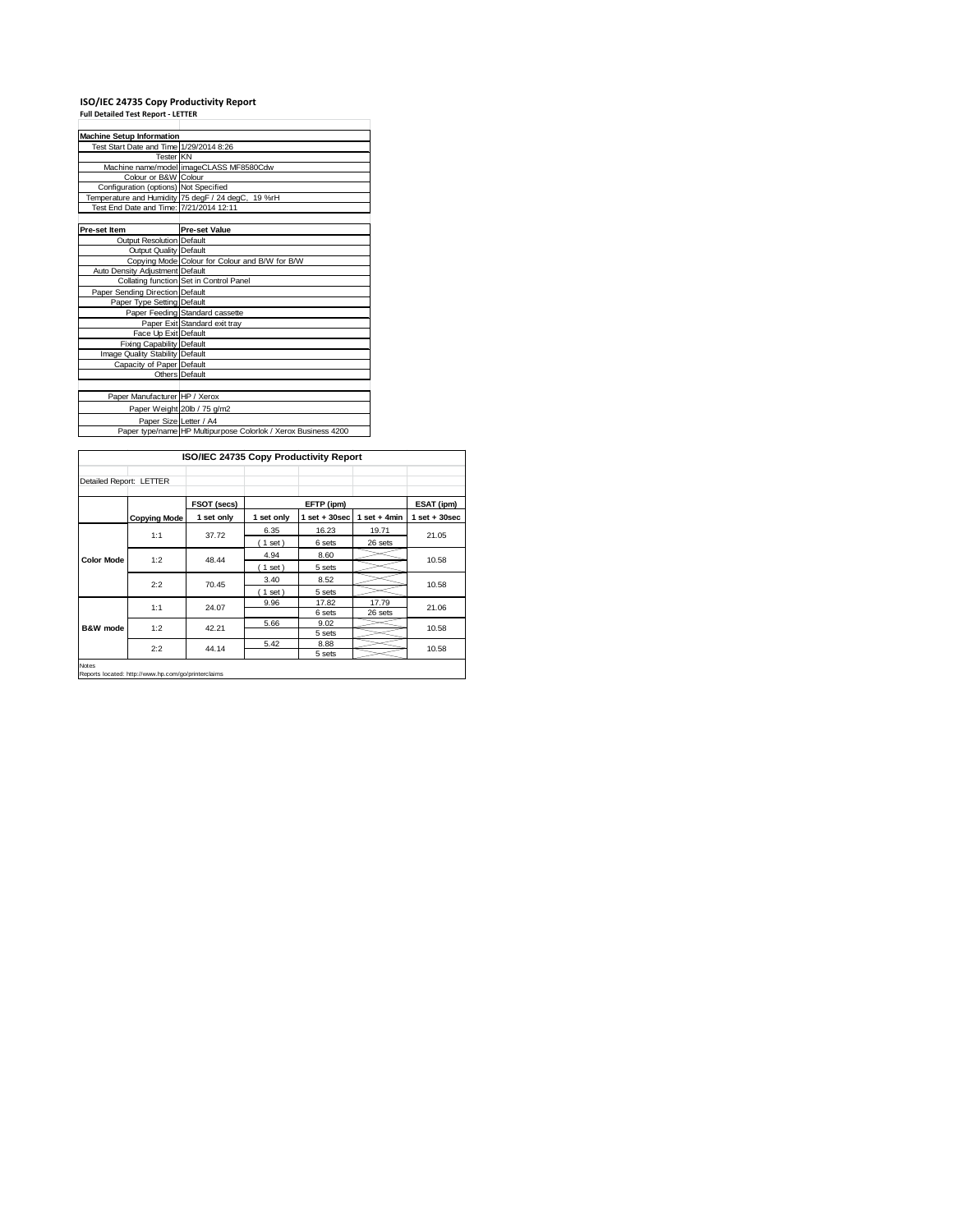## **ISO/IEC 24735 Copy Productivity Report Full Detailed Test Report ‐ LETTER**

| <b>Machine Setup Information</b>        |                                                                |
|-----------------------------------------|----------------------------------------------------------------|
| Test Start Date and Time 1/29/2014 8:26 |                                                                |
| <b>Tester KN</b>                        |                                                                |
|                                         | Machine name/model imageCLASS MF8580Cdw                        |
| Colour or B&W Colour                    |                                                                |
| Configuration (options) Not Specified   |                                                                |
|                                         | Temperature and Humidity 75 degF / 24 degC, 19 %rH             |
| Test End Date and Time: 7/21/2014 12:11 |                                                                |
|                                         |                                                                |
| <b>Pre-set Item</b>                     | <b>Pre-set Value</b>                                           |
| <b>Output Resolution Default</b>        |                                                                |
| Output Quality Default                  |                                                                |
|                                         | Copying Mode Colour for Colour and B/W for B/W                 |
| Auto Density Adjustment Default         |                                                                |
|                                         | Collating function Set in Control Panel                        |
| Paper Sending Direction Default         |                                                                |
| Paper Type Setting Default              |                                                                |
|                                         | Paper Feeding Standard cassette                                |
|                                         | Paper Exit Standard exit tray                                  |
| Face Up Exit Default                    |                                                                |
| <b>Fixing Capability Default</b>        |                                                                |
| Image Quality Stability Default         |                                                                |
| Capacity of Paper Default               |                                                                |
|                                         | Others Default                                                 |
|                                         |                                                                |
| Paper Manufacturer HP / Xerox           |                                                                |
|                                         | Paper Weight 20lb / 75 g/m2                                    |
| Paper Size Letter / A4                  |                                                                |
|                                         | Paper type/name HP Multipurpose Colorlok / Xerox Business 4200 |

| ISO/IEC 24735 Copy Productivity Report |                     |              |            |                   |                |                   |
|----------------------------------------|---------------------|--------------|------------|-------------------|----------------|-------------------|
| Detailed Report: LETTER                |                     |              |            |                   |                |                   |
|                                        |                     | FSOT (secs)  |            | EFTP (ipm)        |                | ESAT (ipm)        |
|                                        | <b>Copying Mode</b> | 1 set only   | 1 set only | $1$ set $+30$ sec | 1 set $+4$ min | $1$ set $+30$ sec |
| <b>Color Mode</b>                      | 1:1                 |              | 6.35       | 16.23             | 19.71          | 21.05             |
|                                        |                     | 37.72        | (1 set)    | 6 sets            | 26 sets        |                   |
|                                        | 1:2                 | 48.44        | 4.94       | 8.60              |                | 10.58             |
|                                        |                     |              | $1$ set)   | 5 sets            |                |                   |
|                                        | 2:2                 | 70.45        | 3.40       | 8.52              |                | 10.58             |
|                                        |                     |              | 1 set)     | 5 sets            |                |                   |
|                                        |                     | 1:1<br>24.07 | 9.96       | 17.82             | 17.79          | 21.06             |
| <b>B&amp;W</b> mode                    |                     |              |            | 6 sets            | 26 sets        |                   |
|                                        | 1:2                 | 42.21        | 5.66       | 9.02              |                | 10.58             |
|                                        |                     |              |            | 5 sets            |                |                   |
|                                        | 2:2                 | 44.14        | 5.42       | 8.88              |                | 10.58             |
|                                        |                     |              |            | 5 sets            |                |                   |

Notes Reports located: http://www.hp.com/go/printerclaims

 $\mathbf{I}$